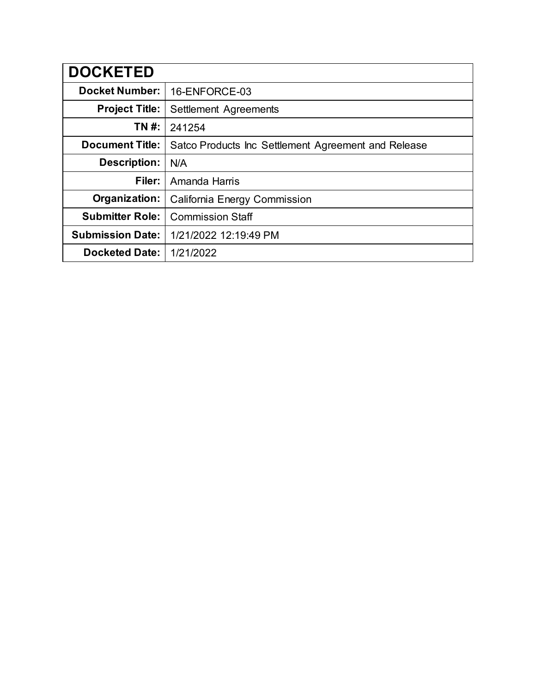| <b>DOCKETED</b>         |                                                     |  |  |  |
|-------------------------|-----------------------------------------------------|--|--|--|
| <b>Docket Number:</b>   | 16-ENFORCE-03                                       |  |  |  |
| <b>Project Title:</b>   | Settlement Agreements                               |  |  |  |
| TN #:                   | 241254                                              |  |  |  |
| <b>Document Title:</b>  | Satco Products Inc Settlement Agreement and Release |  |  |  |
| <b>Description:</b>     | N/A                                                 |  |  |  |
| Filer:                  | Amanda Harris                                       |  |  |  |
| Organization:           | California Energy Commission                        |  |  |  |
| <b>Submitter Role:</b>  | <b>Commission Staff</b>                             |  |  |  |
| <b>Submission Date:</b> | 1/21/2022 12:19:49 PM                               |  |  |  |
| <b>Docketed Date:</b>   | 1/21/2022                                           |  |  |  |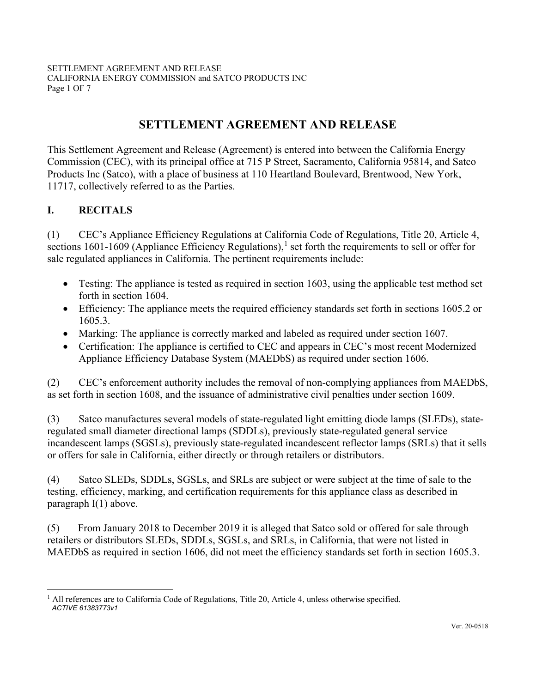SETTLEMENT AGREEMENT AND RELEASE CALIFORNIA ENERGY COMMISSION and SATCO PRODUCTS INC Page 1 OF 7

# **SETTLEMENT AGREEMENT AND RELEASE**

This Settlement Agreement and Release (Agreement) is entered into between the California Energy Commission (CEC), with its principal office at 715 P Street, Sacramento, California 95814, and Satco Products Inc (Satco), with a place of business at 110 Heartland Boulevard, Brentwood, New York, 11717, collectively referred to as the Parties.

### **I. RECITALS**

(1) CEC's Appliance Efficiency Regulations at California Code of Regulations, Title 20, Article 4, sections [1](#page-1-0)601-1609 (Appliance Efficiency Regulations),<sup>1</sup> set forth the requirements to sell or offer for sale regulated appliances in California. The pertinent requirements include:

- Testing: The appliance is tested as required in section 1603, using the applicable test method set forth in section 1604.
- Efficiency: The appliance meets the required efficiency standards set forth in sections 1605.2 or 1605.3.
- Marking: The appliance is correctly marked and labeled as required under section 1607.
- Certification: The appliance is certified to CEC and appears in CEC's most recent Modernized Appliance Efficiency Database System (MAEDbS) as required under section 1606.

(2) CEC's enforcement authority includes the removal of non-complying appliances from MAEDbS, as set forth in section 1608, and the issuance of administrative civil penalties under section 1609.

(3) Satco manufactures several models of state-regulated light emitting diode lamps (SLEDs), stateregulated small diameter directional lamps (SDDLs), previously state-regulated general service incandescent lamps (SGSLs), previously state-regulated incandescent reflector lamps (SRLs) that it sells or offers for sale in California, either directly or through retailers or distributors.

(4) Satco SLEDs, SDDLs, SGSLs, and SRLs are subject or were subject at the time of sale to the testing, efficiency, marking, and certification requirements for this appliance class as described in paragraph I(1) above.

(5) From January 2018 to December 2019 it is alleged that Satco sold or offered for sale through retailers or distributors SLEDs, SDDLs, SGSLs, and SRLs, in California, that were not listed in MAEDbS as required in section 1606, did not meet the efficiency standards set forth in section 1605.3.

<span id="page-1-0"></span>*ACTIVE 61383773v1* <sup>1</sup> All references are to California Code of Regulations, Title 20, Article 4, unless otherwise specified.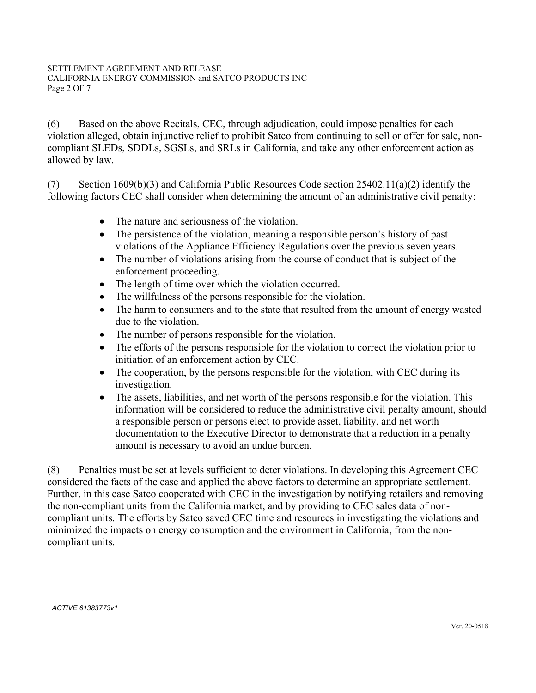(6) Based on the above Recitals, CEC, through adjudication, could impose penalties for each violation alleged, obtain injunctive relief to prohibit Satco from continuing to sell or offer for sale, noncompliant SLEDs, SDDLs, SGSLs, and SRLs in California, and take any other enforcement action as allowed by law.

(7) Section 1609(b)(3) and California Public Resources Code section 25402.11(a)(2) identify the following factors CEC shall consider when determining the amount of an administrative civil penalty:

- The nature and seriousness of the violation.
- The persistence of the violation, meaning a responsible person's history of past violations of the Appliance Efficiency Regulations over the previous seven years.
- The number of violations arising from the course of conduct that is subject of the enforcement proceeding.
- The length of time over which the violation occurred.
- The willfulness of the persons responsible for the violation.
- The harm to consumers and to the state that resulted from the amount of energy wasted due to the violation.
- The number of persons responsible for the violation.
- The efforts of the persons responsible for the violation to correct the violation prior to initiation of an enforcement action by CEC.
- The cooperation, by the persons responsible for the violation, with CEC during its investigation.
- The assets, liabilities, and net worth of the persons responsible for the violation. This information will be considered to reduce the administrative civil penalty amount, should a responsible person or persons elect to provide asset, liability, and net worth documentation to the Executive Director to demonstrate that a reduction in a penalty amount is necessary to avoid an undue burden.

(8) Penalties must be set at levels sufficient to deter violations. In developing this Agreement CEC considered the facts of the case and applied the above factors to determine an appropriate settlement. Further, in this case Satco cooperated with CEC in the investigation by notifying retailers and removing the non-compliant units from the California market, and by providing to CEC sales data of noncompliant units. The efforts by Satco saved CEC time and resources in investigating the violations and minimized the impacts on energy consumption and the environment in California, from the noncompliant units.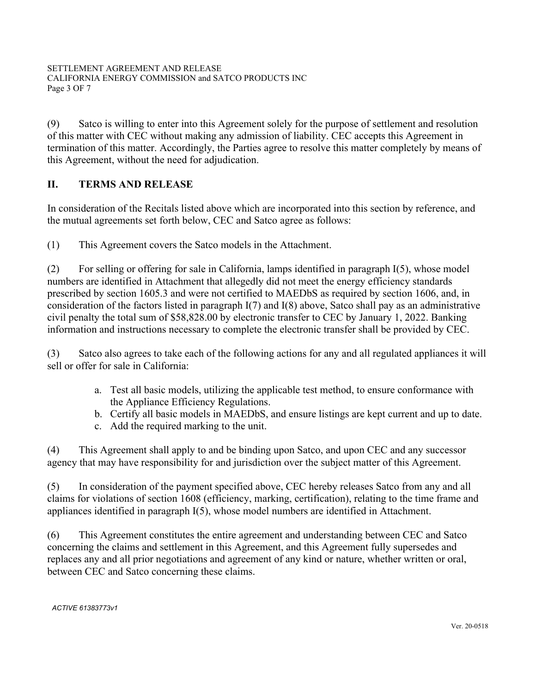(9) Satco is willing to enter into this Agreement solely for the purpose of settlement and resolution of this matter with CEC without making any admission of liability. CEC accepts this Agreement in termination of this matter. Accordingly, the Parties agree to resolve this matter completely by means of this Agreement, without the need for adjudication.

# **II. TERMS AND RELEASE**

In consideration of the Recitals listed above which are incorporated into this section by reference, and the mutual agreements set forth below, CEC and Satco agree as follows:

(1) This Agreement covers the Satco models in the Attachment.

(2) For selling or offering for sale in California, lamps identified in paragraph I(5), whose model numbers are identified in Attachment that allegedly did not meet the energy efficiency standards prescribed by section 1605.3 and were not certified to MAEDbS as required by section 1606, and, in consideration of the factors listed in paragraph I(7) and I(8) above, Satco shall pay as an administrative civil penalty the total sum of \$58,828.00 by electronic transfer to CEC by January 1, 2022. Banking information and instructions necessary to complete the electronic transfer shall be provided by CEC.

(3) Satco also agrees to take each of the following actions for any and all regulated appliances it will sell or offer for sale in California:

- a. Test all basic models, utilizing the applicable test method, to ensure conformance with the Appliance Efficiency Regulations.
- b. Certify all basic models in MAEDbS, and ensure listings are kept current and up to date.
- c. Add the required marking to the unit.

(4) This Agreement shall apply to and be binding upon Satco, and upon CEC and any successor agency that may have responsibility for and jurisdiction over the subject matter of this Agreement.

(5) In consideration of the payment specified above, CEC hereby releases Satco from any and all claims for violations of section 1608 (efficiency, marking, certification), relating to the time frame and appliances identified in paragraph I(5), whose model numbers are identified in Attachment.

(6) This Agreement constitutes the entire agreement and understanding between CEC and Satco concerning the claims and settlement in this Agreement, and this Agreement fully supersedes and replaces any and all prior negotiations and agreement of any kind or nature, whether written or oral, between CEC and Satco concerning these claims.

*ACTIVE 61383773v1*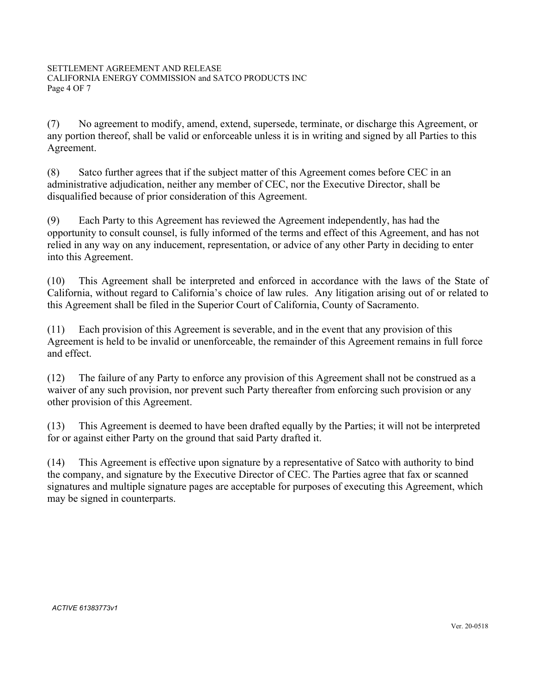(7) No agreement to modify, amend, extend, supersede, terminate, or discharge this Agreement, or any portion thereof, shall be valid or enforceable unless it is in writing and signed by all Parties to this Agreement.

(8) Satco further agrees that if the subject matter of this Agreement comes before CEC in an administrative adjudication, neither any member of CEC, nor the Executive Director, shall be disqualified because of prior consideration of this Agreement.

(9) Each Party to this Agreement has reviewed the Agreement independently, has had the opportunity to consult counsel, is fully informed of the terms and effect of this Agreement, and has not relied in any way on any inducement, representation, or advice of any other Party in deciding to enter into this Agreement.

(10) This Agreement shall be interpreted and enforced in accordance with the laws of the State of California, without regard to California's choice of law rules. Any litigation arising out of or related to this Agreement shall be filed in the Superior Court of California, County of Sacramento.

(11) Each provision of this Agreement is severable, and in the event that any provision of this Agreement is held to be invalid or unenforceable, the remainder of this Agreement remains in full force and effect.

(12) The failure of any Party to enforce any provision of this Agreement shall not be construed as a waiver of any such provision, nor prevent such Party thereafter from enforcing such provision or any other provision of this Agreement.

(13) This Agreement is deemed to have been drafted equally by the Parties; it will not be interpreted for or against either Party on the ground that said Party drafted it.

(14) This Agreement is effective upon signature by a representative of Satco with authority to bind the company, and signature by the Executive Director of CEC. The Parties agree that fax or scanned signatures and multiple signature pages are acceptable for purposes of executing this Agreement, which may be signed in counterparts.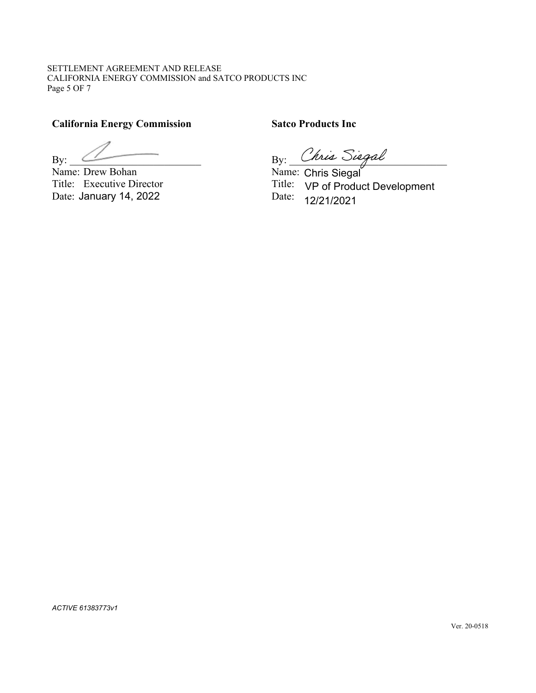SETTLEMENT AGREEMENT AND RELEASE CALIFORNIA ENERGY COMMISSION and SATCO PRODUCTS INC Page 5 OF 7

# **California Energy Commission Satco Products Inc**

Name: Drew Bohan Title: Executive Director Title: Date: January 14, 2022 Date: Date: Date: January 14, 2022

 $\mathrm{By:}$  By:  $\frac{\cup \mathsf{triangle}}{\mathsf{triangle}}$ nis Siegal<br>tris Siogal

Chris Siegal 12/21/2021 Title: VP of Product Development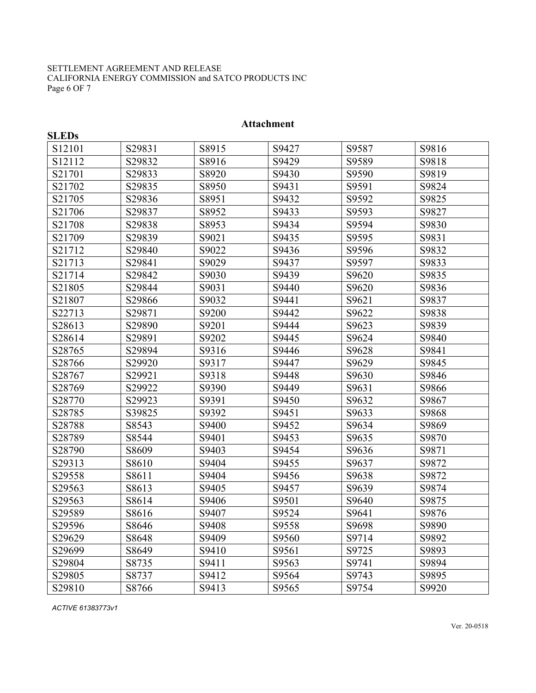#### SETTLEMENT AGREEMENT AND RELEASE CALIFORNIA ENERGY COMMISSION and SATCO PRODUCTS INC Page 6 OF 7

| <b>SLEDs</b> |        |       |       |       |       |
|--------------|--------|-------|-------|-------|-------|
| S12101       | S29831 | S8915 | S9427 | S9587 | S9816 |
| S12112       | S29832 | S8916 | S9429 | S9589 | S9818 |
| S21701       | S29833 | S8920 | S9430 | S9590 | S9819 |
| S21702       | S29835 | S8950 | S9431 | S9591 | S9824 |
| S21705       | S29836 | S8951 | S9432 | S9592 | S9825 |
| S21706       | S29837 | S8952 | S9433 | S9593 | S9827 |
| S21708       | S29838 | S8953 | S9434 | S9594 | S9830 |
| S21709       | S29839 | S9021 | S9435 | S9595 | S9831 |
| S21712       | S29840 | S9022 | S9436 | S9596 | S9832 |
| S21713       | S29841 | S9029 | S9437 | S9597 | S9833 |
| S21714       | S29842 | S9030 | S9439 | S9620 | S9835 |
| S21805       | S29844 | S9031 | S9440 | S9620 | S9836 |
| S21807       | S29866 | S9032 | S9441 | S9621 | S9837 |
| S22713       | S29871 | S9200 | S9442 | S9622 | S9838 |
| S28613       | S29890 | S9201 | S9444 | S9623 | S9839 |
| S28614       | S29891 | S9202 | S9445 | S9624 | S9840 |
| S28765       | S29894 | S9316 | S9446 | S9628 | S9841 |
| S28766       | S29920 | S9317 | S9447 | S9629 | S9845 |
| S28767       | S29921 | S9318 | S9448 | S9630 | S9846 |
| S28769       | S29922 | S9390 | S9449 | S9631 | S9866 |
| S28770       | S29923 | S9391 | S9450 | S9632 | S9867 |
| S28785       | S39825 | S9392 | S9451 | S9633 | S9868 |
| S28788       | S8543  | S9400 | S9452 | S9634 | S9869 |
| S28789       | S8544  | S9401 | S9453 | S9635 | S9870 |
| S28790       | S8609  | S9403 | S9454 | S9636 | S9871 |
| S29313       | S8610  | S9404 | S9455 | S9637 | S9872 |
| S29558       | S8611  | S9404 | S9456 | S9638 | S9872 |
| S29563       | S8613  | S9405 | S9457 | S9639 | S9874 |
| S29563       | S8614  | S9406 | S9501 | S9640 | S9875 |
| S29589       | S8616  | S9407 | S9524 | S9641 | S9876 |
| S29596       | S8646  | S9408 | S9558 | S9698 | S9890 |
| S29629       | S8648  | S9409 | S9560 | S9714 | S9892 |
| S29699       | S8649  | S9410 | S9561 | S9725 | S9893 |
| S29804       | S8735  | S9411 | S9563 | S9741 | S9894 |
| S29805       | S8737  | S9412 | S9564 | S9743 | S9895 |
| S29810       | S8766  | S9413 | S9565 | S9754 | S9920 |

### **Attachment**

*ACTIVE 61383773v1*